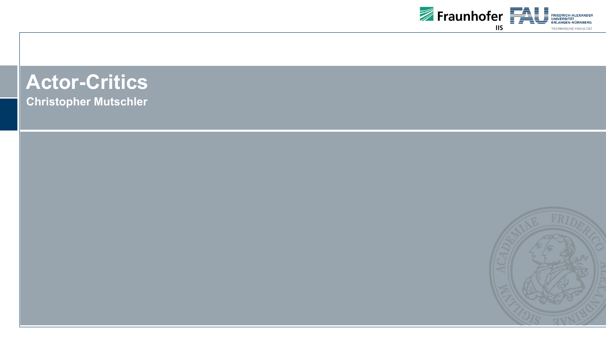

# **Actor-Critics**

**Christopher Mutschler**

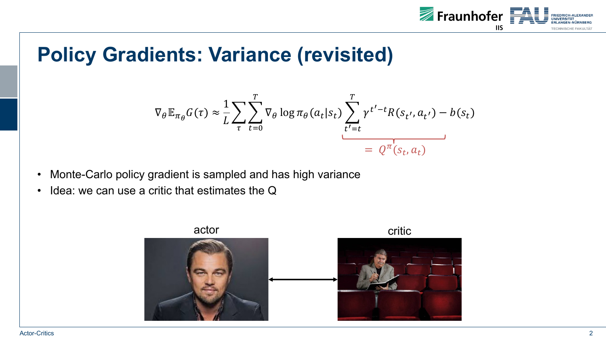

## **Policy Gradients: Variance (revisited)**

$$
\nabla_{\theta} \mathbb{E}_{\pi_{\theta}} G(\tau) \approx \frac{1}{L} \sum_{\tau} \sum_{t=0}^{T} \nabla_{\theta} \log \pi_{\theta}(a_t | s_t) \sum_{t'=t}^{T} \gamma^{t'-t} R(s_{t'}, a_{t'}) - b(s_t)
$$

$$
= Q^{\pi}(s_t, a_t)
$$

- Monte-Carlo policy gradient is sampled and has high variance
- Idea: we can use a critic that estimates the Q

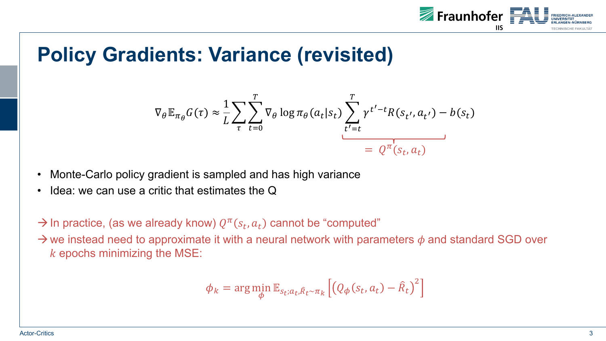

## **Policy Gradients: Variance (revisited)**

$$
\nabla_{\theta} \mathbb{E}_{\pi_{\theta}} G(\tau) \approx \frac{1}{L} \sum_{\tau} \sum_{t=0}^{T} \nabla_{\theta} \log \pi_{\theta}(a_t | s_t) \sum_{t'=t}^{T} \gamma^{t'-t} R(s_{t'}, a_{t'}) - b(s_t)
$$

$$
= Q^{\pi}(s_t, a_t)
$$

- Monte-Carlo policy gradient is sampled and has high variance
- Idea: we can use a critic that estimates the Q
- $\rightarrow$  In practice, (as we already know)  $Q^{\pi}(s_t, a_t)$  cannot be "computed"

 $\rightarrow$  we instead need to approximate it with a neural network with parameters  $\phi$  and standard SGD over  $k$  epochs minimizing the MSE:

$$
\phi_k = \arg\min_{\phi} \mathbb{E}_{s_t; a_t, \hat{R}_t \sim \pi_k} \left[ \left( Q_{\phi}(s_t, a_t) - \hat{R}_t \right)^2 \right]
$$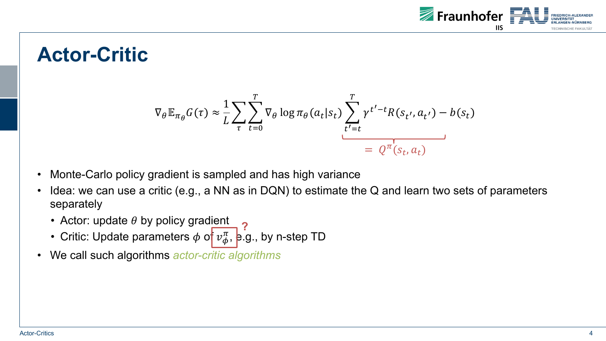

#### **Actor-Critic**

$$
\nabla_{\theta} \mathbb{E}_{\pi_{\theta}} G(\tau) \approx \frac{1}{L} \sum_{\tau} \sum_{t=0}^{T} \nabla_{\theta} \log \pi_{\theta}(a_t | s_t) \sum_{t'=t}^{T} \gamma^{t'-t} R(s_{t'}, a_{t'}) - b(s_t)
$$

$$
= Q^{\pi}(s_t, a_t)
$$

- Monte-Carlo policy gradient is sampled and has high variance
- Idea: we can use a critic (e.g., a NN as in DQN) to estimate the Q and learn two sets of parameters separately
	- Actor: update  $\theta$  by policy gradient
	- Critic: Update parameters  $\phi$  of  $v_{\phi}^{\pi}$ , e.g., by n-step TD **?**
- We call such algorithms *actor-critic algorithms*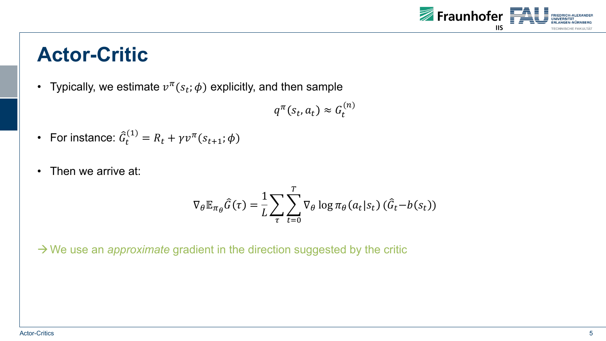

#### **Actor-Critic**

• Typically, we estimate  $v^{\pi}(s_t; \phi)$  explicitly, and then sample

 $q^{\pi}(s_t, a_t) \approx G_t^{(n)}$ 

- For instance:  $\widehat{G}_t^{(1)} = R_t + \gamma v^{\pi}(s_{t+1}; \phi)$
- Then we arrive at:

$$
\nabla_{\theta} \mathbb{E}_{\pi_{\theta}} \hat{G}(\tau) = \frac{1}{L} \sum_{\tau} \sum_{t=0}^{T} \nabla_{\theta} \log \pi_{\theta}(a_t | s_t) (\hat{G}_t - b(s_t))
$$

 $\rightarrow$  We use an *approximate* gradient in the direction suggested by the critic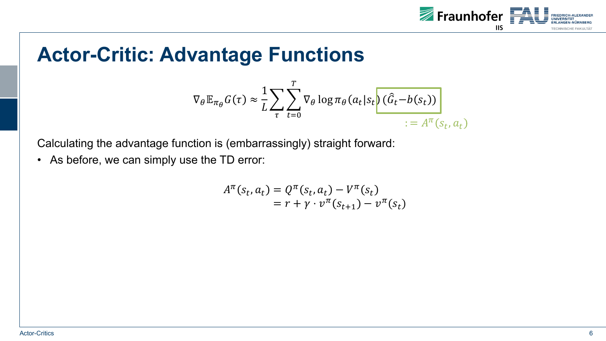

#### **Actor-Critic: Advantage Functions**

$$
\nabla_{\theta} \mathbb{E}_{\pi_{\theta}} G(\tau) \approx \frac{1}{L} \sum_{\tau} \sum_{t=0}^{T} \nabla_{\theta} \log \pi_{\theta}(a_t | s_t) \frac{\left(\widehat{G}_t - b(s_t)\right)}{:= A^{\pi}(s_t, a_t)}
$$

Calculating the advantage function is (embarrassingly) straight forward:

• As before, we can simply use the TD error:

$$
A^{\pi}(s_t, a_t) = Q^{\pi}(s_t, a_t) - V^{\pi}(s_t)
$$
  
=  $r + \gamma \cdot v^{\pi}(s_{t+1}) - v^{\pi}(s_t)$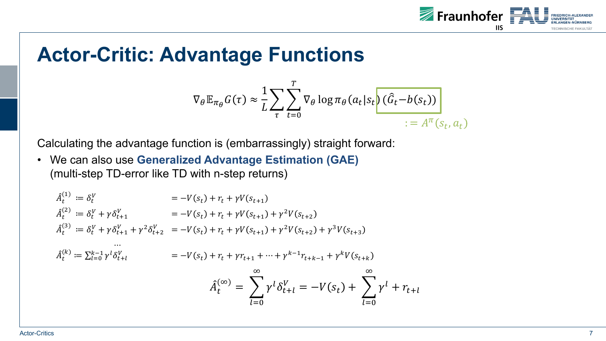

#### **Actor-Critic: Advantage Functions**

$$
\nabla_{\theta} \mathbb{E}_{\pi_{\theta}} G(\tau) \approx \frac{1}{L} \sum_{\tau} \sum_{t=0}^{T} \nabla_{\theta} \log \pi_{\theta}(a_t | s_t) \frac{\left(\widehat{G}_t - b(s_t)\right)}{1 - A^{\pi}(s_t, a_t)}
$$

Calculating the advantage function is (embarrassingly) straight forward:

• We can also use **Generalized Advantage Estimation (GAE)** (multi-step TD-error like TD with n-step returns)

$$
\begin{aligned}\n\hat{A}_t^{(1)} &= \delta_t^V &= -V(s_t) + r_t + \gamma V(s_{t+1}) \\
\hat{A}_t^{(2)} &= \delta_t^V + \gamma \delta_{t+1}^V &= -V(s_t) + r_t + \gamma V(s_{t+1}) + \gamma^2 V(s_{t+2}) \\
\hat{A}_t^{(3)} &= \delta_t^V + \gamma \delta_{t+1}^V + \gamma^2 \delta_{t+2}^V &= -V(s_t) + r_t + \gamma V(s_{t+1}) + \gamma^2 V(s_{t+2}) + \gamma^3 V(s_{t+3}) \\
&\dots \\
\hat{A}_t^{(k)} &= \sum_{l=0}^{k-1} \gamma^l \delta_{t+l}^V &= -V(s_t) + r_t + \gamma r_{t+1} + \dots + \gamma^{k-1} r_{t+k-1} + \gamma^k V(s_{t+k}) \\
\hat{A}_t^{(\infty)} &= \sum_{l=0}^{\infty} \gamma^l \delta_{t+l}^V &= -V(s_t) + \sum_{l=0}^{\infty} \gamma^l + r_{t+l}\n\end{aligned}
$$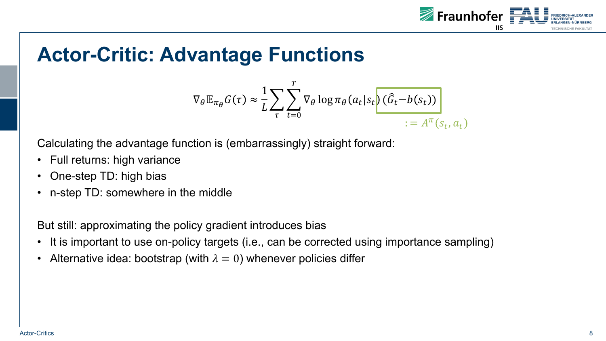

### **Actor-Critic: Advantage Functions**

$$
\nabla_{\theta} \mathbb{E}_{\pi_{\theta}} G(\tau) \approx \frac{1}{L} \sum_{\tau} \sum_{t=0}^{T} \nabla_{\theta} \log \pi_{\theta}(a_t | s_t) \frac{\left(\widehat{G}_t - b(s_t)\right)}{:= A^{\pi}(s_t, a_t)}
$$

Calculating the advantage function is (embarrassingly) straight forward:

- Full returns: high variance
- One-step TD: high bias
- n-step TD: somewhere in the middle

But still: approximating the policy gradient introduces bias

- It is important to use on-policy targets (i.e., can be corrected using importance sampling)
- Alternative idea: bootstrap (with  $\lambda = 0$ ) whenever policies differ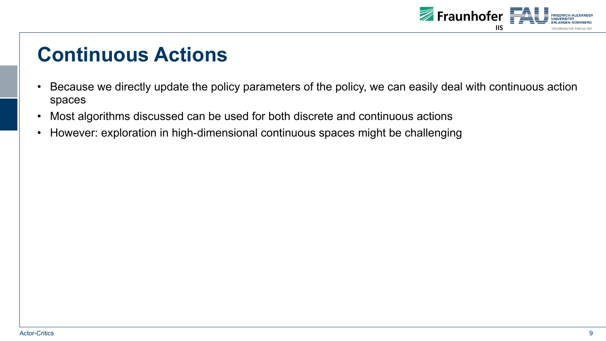

### **Continuous Actions**

- Because we directly update the policy parameters of the policy, we can easily deal with continuous action spaces
- Most algorithms discussed can be used for both discrete and continuous actions
- However: exploration in high-dimensional continuous spaces might be challenging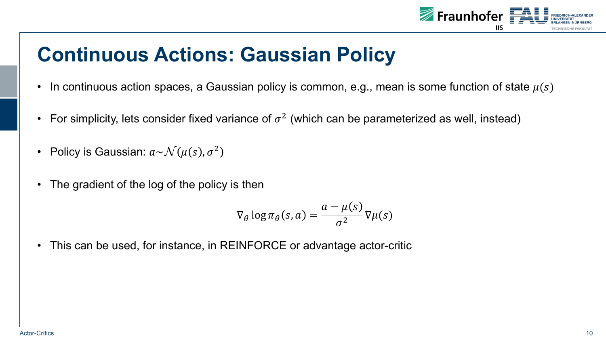

## **Continuous Actions: Gaussian Policy**

- In continuous action spaces, a Gaussian policy is common, e.g., mean is some function of state  $\mu(s)$
- For simplicity, lets consider fixed variance of  $\sigma^2$  (which can be parameterized as well, instead)
- Policy is Gaussian:  $a \sim \mathcal{N}(\mu(s), \sigma^2)$
- The gradient of the log of the policy is then

$$
\nabla_{\theta} \log \pi_{\theta}(s, a) = \frac{a - \mu(s)}{\sigma^2} \nabla \mu(s)
$$

• This can be used, for instance, in REINFORCE or advantage actor-critic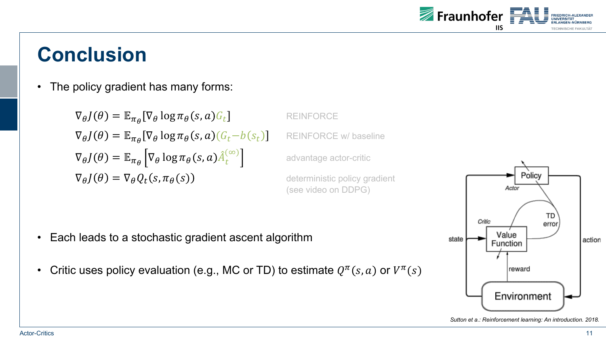

#### **Conclusion**

• The policy gradient has many forms:

 $\nabla_{\theta} J(\theta) = \mathbb{E}_{\pi_{\theta}}[\nabla_{\theta} \log \pi_{\theta}(s, a) G_t]$  reinforce  $\nabla_{\theta} J(\theta) = \mathbb{E}_{\pi_{\theta}}[\nabla_{\theta} \log \pi_{\theta}(s, a)(G_t - b(s_t))]$  REINFORCE w/ baseline  $\nabla_{\theta}J(\theta) = \mathbb{E}_{\pi_{\theta}}\left| \nabla_{\theta} \log \pi_{\theta}(s, a) \hat{A}^{(0)}_t \right|$  $\nabla_{\theta} J(\theta) = \nabla_{\theta} Q_t(s, \pi_{\theta}(s))$  deterministic policy gradient

advantage actor-critic

(see video on DDPG)

- Each leads to a stochastic gradient ascent algorithm
- Critic uses policy evaluation (e.g., MC or TD) to estimate  $Q^{\pi}(s, a)$  or  $V^{\pi}(s)$



*Sutton et a.: Reinforcement learning: An introduction. 2018.*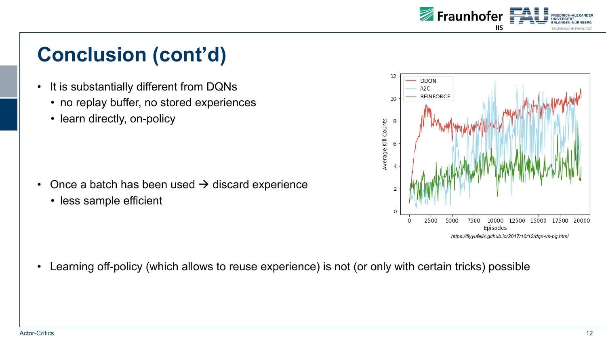

# **Conclusion (cont'd)**

- It is substantially different from DQNs
	- no replay buffer, no stored experiences
	- learn directly, on-policy

- Once a batch has been used  $\rightarrow$  discard experience
	- less sample efficient



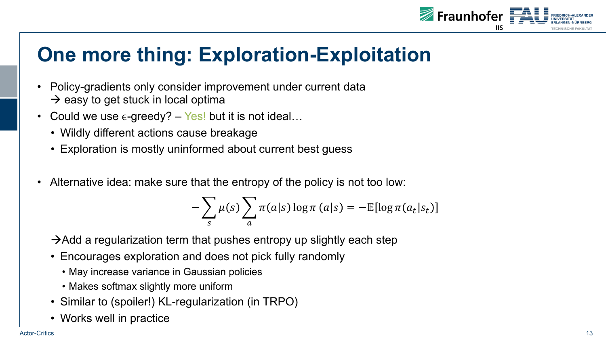

## **One more thing: Exploration-Exploitation**

- Policy-gradients only consider improvement under current data  $\rightarrow$  easy to get stuck in local optima
- Could we use  $\epsilon$ -greedy? Yes! but it is not ideal...
	- Wildly different actions cause breakage
	- Exploration is mostly uninformed about current best guess
- Alternative idea: make sure that the entropy of the policy is not too low:

$$
-\sum_{s} \mu(s) \sum_{a} \pi(a|s) \log \pi(a|s) = -\mathbb{E}[\log \pi(a_t|s_t)]
$$

 $\rightarrow$ Add a regularization term that pushes entropy up slightly each step

- Encourages exploration and does not pick fully randomly
	- May increase variance in Gaussian policies
	- Makes softmax slightly more uniform
- Similar to (spoiler!) KL-regularization (in TRPO)
- Works well in practice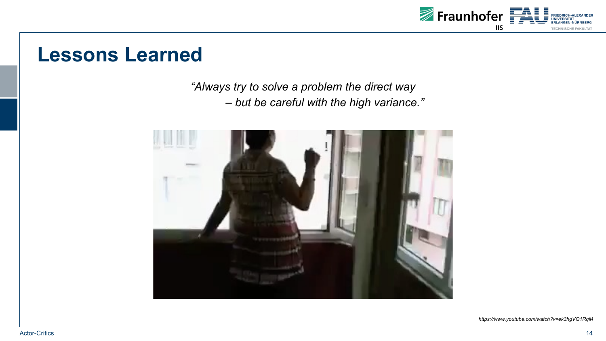

#### **Lessons Learned**

*"Always try to solve a problem the direct way*

*– but be careful with the high variance."*



*https://www.youtube.com/watch?v=ek3hgVQ1RqM*